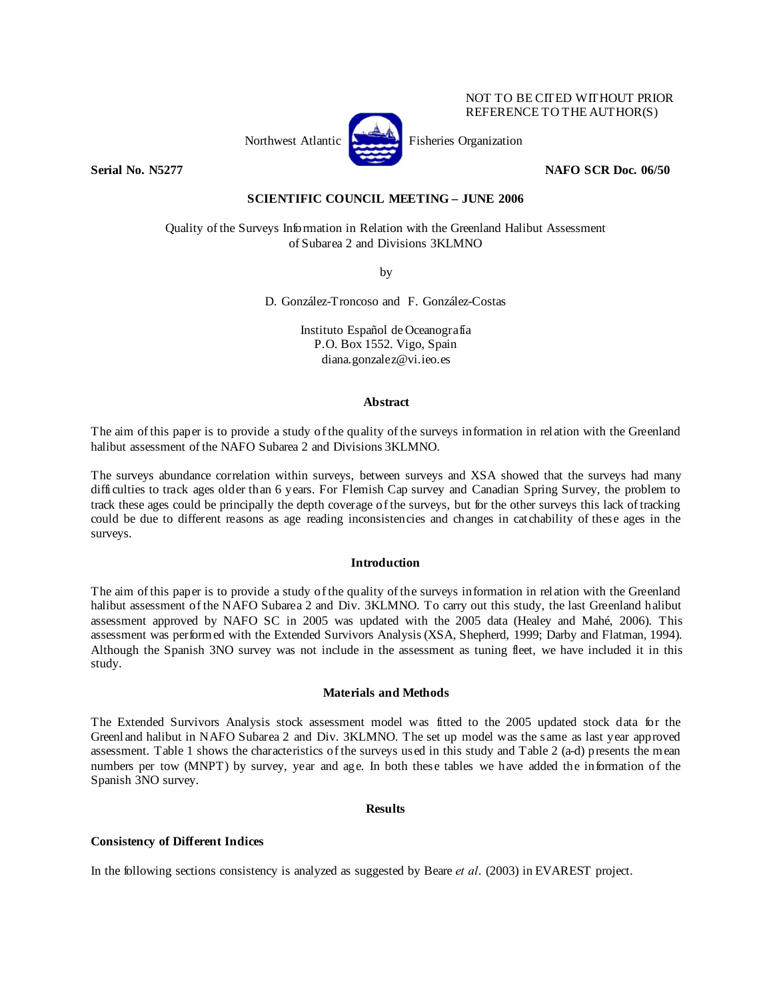

NOT TO BE CITED WITHOUT PRIOR REFERENCE TO THE AUTHOR(S)

## **Serial No. N5277 NAFO SCR Doc. 06/50 NAFO SCR Doc. 06/50**

# **SCIENTIFIC COUNCIL MEETING – JUNE 2006**

Quality of the Surveys Information in Relation with the Greenland Halibut Assessment of Subarea 2 and Divisions 3KLMNO

by

D. González-Troncoso and F. González-Costas

Instituto Español de Oceanografía P.O. Box 1552. Vigo, Spain diana.gonzalez@vi.ieo.es

#### **Abstract**

The aim of this paper is to provide a study of the quality of the surveys information in relation with the Greenland halibut assessment of the NAFO Subarea 2 and Divisions 3KLMNO.

The surveys abundance correlation within surveys, between surveys and XSA showed that the surveys had many difficulties to track ages older than 6 years. For Flemish Cap survey and Canadian Spring Survey, the problem to track these ages could be principally the depth coverage of the surveys, but for the other surveys this lack of tracking could be due to different reasons as age reading inconsistencies and changes in catchability of these ages in the surveys.

## **Introduction**

The aim of this paper is to provide a study of the quality of the surveys information in relation with the Greenland halibut assessment of the NAFO Subarea 2 and Div. 3KLMNO. To carry out this study, the last Greenland halibut assessment approved by NAFO SC in 2005 was updated with the 2005 data (Healey and Mahé, 2006). This assessment was performed with the Extended Survivors Analysis (XSA, Shepherd, 1999; Darby and Flatman, 1994). Although the Spanish 3NO survey was not include in the assessment as tuning fleet, we have included it in this study.

## **Materials and Methods**

The Extended Survivors Analysis stock assessment model was fitted to the 2005 updated stock data for the Greenland halibut in NAFO Subarea 2 and Div. 3KLMNO. The set up model was the same as last year approved assessment. Table 1 shows the characteristics of the surveys used in this study and Table 2 (a-d) presents the mean numbers per tow (MNPT) by survey, year and age. In both these tables we have added the information of the Spanish 3NO survey.

## **Results**

## **Consistency of Different Indices**

In the following sections consistency is analyzed as suggested by Beare *et al*. (2003) in EVAREST project.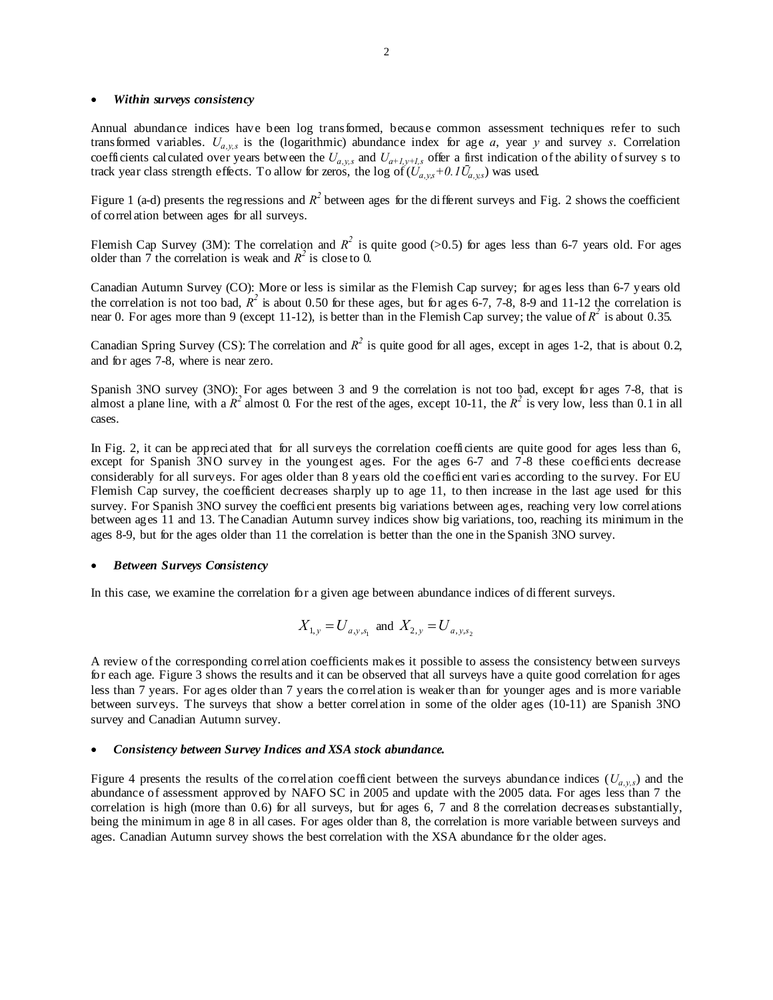#### • *Within surveys consistency*

Annual abundance indices have been log transformed, because common assessment techniques refer to such transformed variables.  $U_{a,v,s}$  is the (logarithmic) abundance index for age *a*, year *y* and survey *s*. Correlation coefficients calculated over years between the  $U_{a,y,s}$  and  $U_{a+1,y+1,s}$  offer a first indication of the ability of survey s to track year class strength effects. To allow for zeros, the log of  $(U_{a,ys}+0.1\bar{U}_{a,ys})$  was used.

Figure 1 (a-d) presents the regressions and  $R^2$  between ages for the different surveys and Fig. 2 shows the coefficient of correlation between ages for all surveys.

Flemish Cap Survey (3M): The correlation and  $R^2$  is quite good (>0.5) for ages less than 6-7 years old. For ages older than  $\overline{7}$  the correlation is weak and  $\overline{R}^2$  is close to 0.

Canadian Autumn Survey (CO): More or less is similar as the Flemish Cap survey; for ages less than 6-7 years old the correlation is not too bad,  $R^2$  is about 0.50 for these ages, but for ages 6-7, 7-8, 8-9 and 11-12 the correlation is near 0. For ages more than 9 (except 11-12), is better than in the Flemish Cap survey; the value of  $R^2$  is about 0.35.

Canadian Spring Survey (CS): The correlation and  $R^2$  is quite good for all ages, except in ages 1-2, that is about 0.2, and for ages 7-8, where is near zero.

Spanish 3NO survey (3NO): For ages between 3 and 9 the correlation is not too bad, except for ages 7-8, that is almost a plane line, with a  $R^2$  almost 0. For the rest of the ages, except 10-11, the  $R^2$  is very low, less than 0.1 in all cases.

In Fig. 2, it can be appreciated that for all surveys the correlation coefficients are quite good for ages less than 6, except for Spanish 3NO survey in the youngest ages. For the ages 6-7 and 7-8 these coefficients decrease considerably for all surveys. For ages older than 8 years old the coefficient varies according to the survey. For EU Flemish Cap survey, the coefficient decreases sharply up to age 11, to then increase in the last age used for this survey. For Spanish 3NO survey the coefficient presents big variations between ages, reaching very low correlations between ages 11 and 13. The Canadian Autumn survey indices show big variations, too, reaching its minimum in the ages 8-9, but for the ages older than 11 the correlation is better than the one in the Spanish 3NO survey.

#### • *Between Surveys Consistency*

In this case, we examine the correlation for a given age between abundance indices of different surveys.

$$
X_{1,y} = U_{a,y,s_1}
$$
 and  $X_{2,y} = U_{a,y,s_2}$ 

A review of the corresponding correlation coefficients makes it possible to assess the consistency between surveys for each age. Figure 3 shows the results and it can be observed that all surveys have a quite good correlation for ages less than 7 years. For ages older than 7 years the correlation is weaker than for younger ages and is more variable between surveys. The surveys that show a better correlation in some of the older ages (10-11) are Spanish 3NO survey and Canadian Autumn survey.

#### • *Consistency between Survey Indices and XSA stock abundance.*

Figure 4 presents the results of the correlation coefficient between the surveys abundance indices  $(U_{a, y,s})$  and the abundance of assessment approved by NAFO SC in 2005 and update with the 2005 data. For ages less than 7 the correlation is high (more than 0.6) for all surveys, but for ages 6, 7 and 8 the correlation decreases substantially, being the minimum in age 8 in all cases. For ages older than 8, the correlation is more variable between surveys and ages. Canadian Autumn survey shows the best correlation with the XSA abundance for the older ages.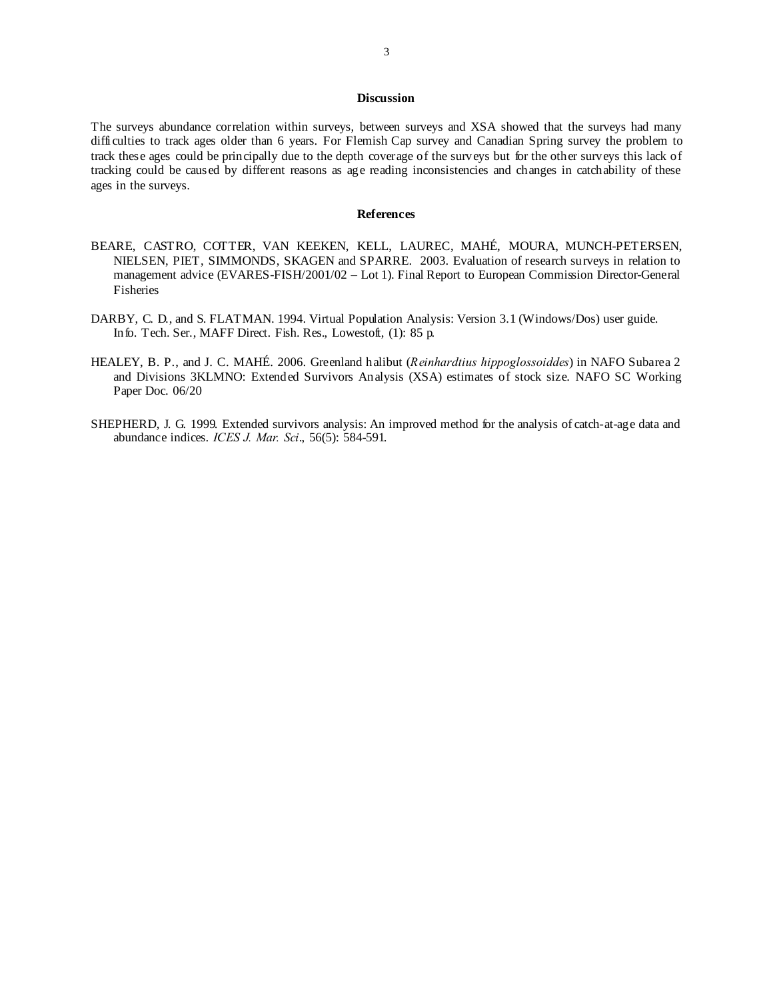## **Discussion**

The surveys abundance correlation within surveys, between surveys and XSA showed that the surveys had many difficulties to track ages older than 6 years. For Flemish Cap survey and Canadian Spring survey the problem to track these ages could be principally due to the depth coverage of the surveys but for the other surveys this lack of tracking could be caused by different reasons as age reading inconsistencies and changes in catchability of these ages in the surveys.

#### **References**

- BEARE, CASTRO, COTTER, VAN KEEKEN, KELL, LAUREC, MAHÉ, MOURA, MUNCH-PETERSEN, NIELSEN, PIET, SIMMONDS, SKAGEN and SPARRE. 2003. Evaluation of research surveys in relation to management advice (EVARES-FISH/2001/02 – Lot 1). Final Report to European Commission Director-General Fisheries
- DARBY, C. D., and S. FLATMAN. 1994. Virtual Population Analysis: Version 3.1 (Windows/Dos) user guide. Info. Tech. Ser., MAFF Direct. Fish. Res., Lowestoft, (1): 85 p.
- HEALEY, B. P., and J. C. MAHÉ. 2006. Greenland halibut (*Reinhardtius hippoglossoiddes*) in NAFO Subarea 2 and Divisions 3KLMNO: Extended Survivors Analysis (XSA) estimates of stock size. NAFO SC Working Paper Doc. 06/20
- SHEPHERD, J. G. 1999. Extended survivors analysis: An improved method for the analysis of catch-at-age data and abundance indices. *ICES J. Mar. Sci*., 56(5): 584-591.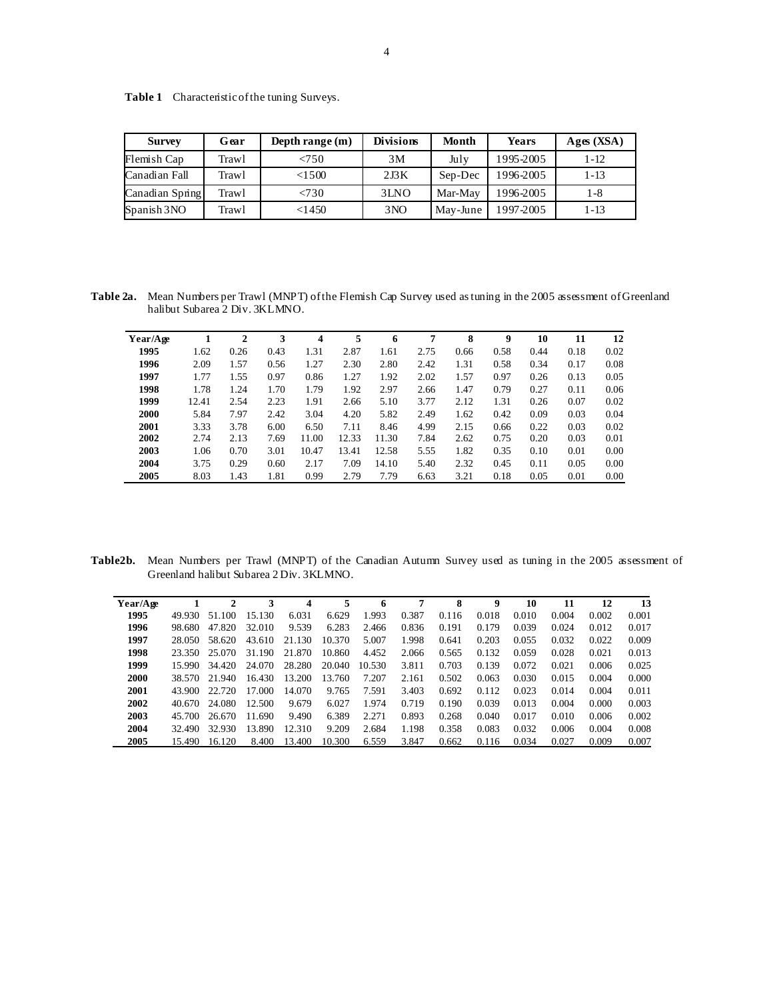| <b>Survey</b>   | Gear  | Depth range (m) | <b>Divisions</b> | Month    | <b>Years</b> | Ages(XSA) |
|-----------------|-------|-----------------|------------------|----------|--------------|-----------|
| Flemish Cap     | Trawl | < 750           | 3M               | July     | 1995-2005    | $1 - 12$  |
| Canadian Fall   | Trawl | < 1500          | 2J3K             | Sep-Dec  | 1996-2005    | $1 - 13$  |
| Canadian Spring | Trawl | < 730           | 3LNO             | Mar-May  | 1996-2005    | 1-8       |
| Spanish 3NO     | Trawl | <1450           | 3 <sub>NO</sub>  | May-June | 1997-2005    | $1 - 13$  |

Table 1 Characteristic of the tuning Surveys.

**Table 2a.** Mean Numbers per Trawl (MNPT) of the Flemish Cap Survey used as tuning in the 2005 assessment of Greenland halibut Subarea 2 Div. 3KLMNO.

| Year/Age |       | 2    | 3    | $\overline{4}$ | 5     | 6     | 7    | 8    | 9    | 10   | 11   | 12   |
|----------|-------|------|------|----------------|-------|-------|------|------|------|------|------|------|
| 1995     | 1.62  | 0.26 | 0.43 | 1.31           | 2.87  | 1.61  | 2.75 | 0.66 | 0.58 | 0.44 | 0.18 | 0.02 |
| 1996     | 2.09  | 1.57 | 0.56 | 1.27           | 2.30  | 2.80  | 2.42 | 1.31 | 0.58 | 0.34 | 0.17 | 0.08 |
| 1997     | 1.77  | 1.55 | 0.97 | 0.86           | 1.27  | 1.92  | 2.02 | 1.57 | 0.97 | 0.26 | 0.13 | 0.05 |
| 1998     | 1.78  | 1.24 | 1.70 | 1.79           | 1.92  | 2.97  | 2.66 | 1.47 | 0.79 | 0.27 | 0.11 | 0.06 |
| 1999     | 12.41 | 2.54 | 2.23 | 1.91           | 2.66  | 5.10  | 3.77 | 2.12 | 1.31 | 0.26 | 0.07 | 0.02 |
| 2000     | 5.84  | 7.97 | 2.42 | 3.04           | 4.20  | 5.82  | 2.49 | 1.62 | 0.42 | 0.09 | 0.03 | 0.04 |
| 2001     | 3.33  | 3.78 | 6.00 | 6.50           | 7.11  | 8.46  | 4.99 | 2.15 | 0.66 | 0.22 | 0.03 | 0.02 |
| 2002     | 2.74  | 2.13 | 7.69 | 11.00          | 12.33 | 11.30 | 7.84 | 2.62 | 0.75 | 0.20 | 0.03 | 0.01 |
| 2003     | 1.06  | 0.70 | 3.01 | 10.47          | 13.41 | 12.58 | 5.55 | 1.82 | 0.35 | 0.10 | 0.01 | 0.00 |
| 2004     | 3.75  | 0.29 | 0.60 | 2.17           | 7.09  | 14.10 | 5.40 | 2.32 | 0.45 | 0.11 | 0.05 | 0.00 |
| 2005     | 8.03  | 1.43 | 1.81 | 0.99           | 2.79  | 7.79  | 6.63 | 3.21 | 0.18 | 0.05 | 0.01 | 0.00 |

**Table2b.** Mean Numbers per Trawl (MNPT) of the Canadian Autumn Survey used as tuning in the 2005 assessment of Greenland halibut Subarea 2 Div. 3KLMNO.

| Year/Age |        | $\mathbf{2}$ | 3      | 4      | 5      | 6      | 7     | 8     | 9     | 10    | 11    | 12    | 13    |
|----------|--------|--------------|--------|--------|--------|--------|-------|-------|-------|-------|-------|-------|-------|
| 1995     | 49.930 | 51.100       | 15.130 | 6.031  | 6.629  | 1.993  | 0.387 | 0.116 | 0.018 | 0.010 | 0.004 | 0.002 | 0.001 |
| 1996     | 98.680 | 47.820       | 32.010 | 9.539  | 6.283  | 2.466  | 0.836 | 0.191 | 0.179 | 0.039 | 0.024 | 0.012 | 0.017 |
| 1997     | 28.050 | 58.620       | 43.610 | 21.130 | 10.370 | 5.007  | 1.998 | 0.641 | 0.203 | 0.055 | 0.032 | 0.022 | 0.009 |
| 1998     | 23.350 | 25.070       | 31.190 | 21.870 | 10.860 | 4.452  | 2.066 | 0.565 | 0.132 | 0.059 | 0.028 | 0.021 | 0.013 |
| 1999     | 15.990 | 34.420       | 24.070 | 28.280 | 20.040 | 10.530 | 3.811 | 0.703 | 0.139 | 0.072 | 0.021 | 0.006 | 0.025 |
| 2000     | 38.570 | 21.940       | 16.430 | 13.200 | 13.760 | 7.207  | 2.161 | 0.502 | 0.063 | 0.030 | 0.015 | 0.004 | 0.000 |
| 2001     | 43.900 | 22.720       | 17.000 | 14.070 | 9.765  | 7.591  | 3.403 | 0.692 | 0.112 | 0.023 | 0.014 | 0.004 | 0.011 |
| 2002     | 40.670 | 24.080       | 12.500 | 9.679  | 6.027  | 1.974  | 0.719 | 0.190 | 0.039 | 0.013 | 0.004 | 0.000 | 0.003 |
| 2003     | 45.700 | 26.670       | 11.690 | 9.490  | 6.389  | 2.271  | 0.893 | 0.268 | 0.040 | 0.017 | 0.010 | 0.006 | 0.002 |
| 2004     | 32.490 | 32.930       | 13.890 | 12.310 | 9.209  | 2.684  | 1.198 | 0.358 | 0.083 | 0.032 | 0.006 | 0.004 | 0.008 |
| 2005     | 15.490 | 16.120       | 8.400  | 13.400 | 10.300 | 6.559  | 3.847 | 0.662 | 0.116 | 0.034 | 0.027 | 0.009 | 0.007 |
|          |        |              |        |        |        |        |       |       |       |       |       |       |       |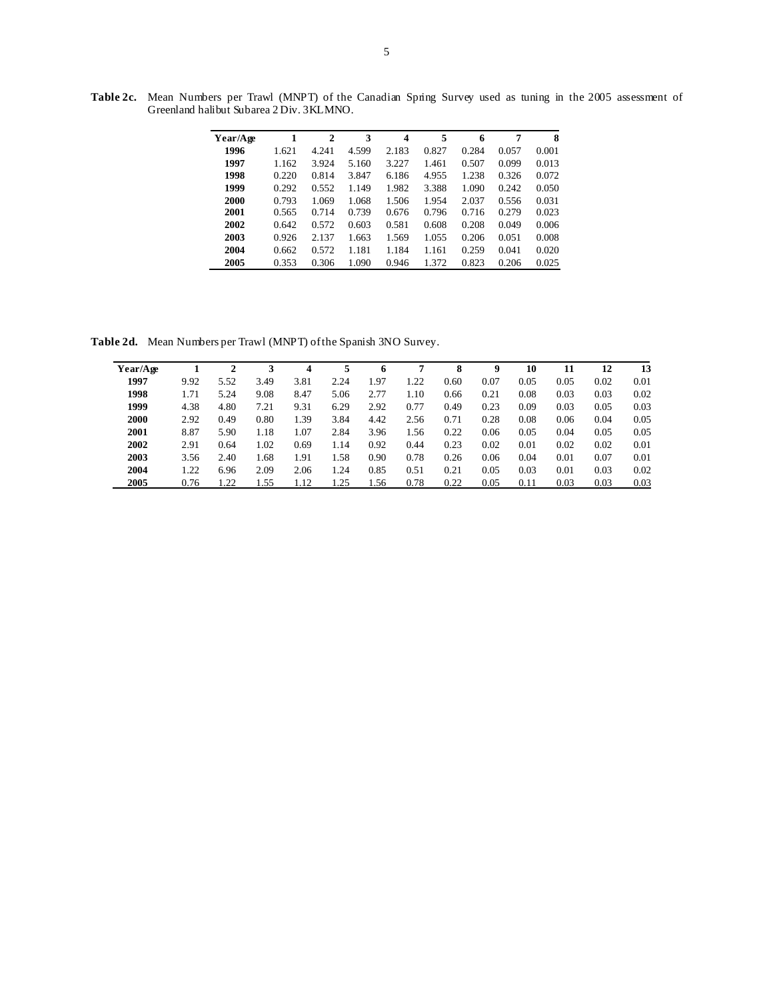**Table 2c.** Mean Numbers per Trawl (MNPT) of the Canadian Spring Survey used as tuning in the 2005 assessment of Greenland halibut Subarea 2 Div. 3KLMNO.

| Year/Age | 1     | $\mathbf{2}$ | 3     | 4     | 5     | 6     | 7     | 8     |
|----------|-------|--------------|-------|-------|-------|-------|-------|-------|
| 1996     | 1.621 | 4.241        | 4.599 | 2.183 | 0.827 | 0.284 | 0.057 | 0.001 |
| 1997     | 1.162 | 3.924        | 5.160 | 3.227 | 1.461 | 0.507 | 0.099 | 0.013 |
| 1998     | 0.220 | 0.814        | 3.847 | 6.186 | 4.955 | 1.238 | 0.326 | 0.072 |
| 1999     | 0.292 | 0.552        | 1.149 | 1.982 | 3.388 | 1.090 | 0.242 | 0.050 |
| 2000     | 0.793 | 1.069        | 1.068 | 1.506 | 1.954 | 2.037 | 0.556 | 0.031 |
| 2001     | 0.565 | 0.714        | 0.739 | 0.676 | 0.796 | 0.716 | 0.279 | 0.023 |
| 2002     | 0.642 | 0.572        | 0.603 | 0.581 | 0.608 | 0.208 | 0.049 | 0.006 |
| 2003     | 0.926 | 2.137        | 1.663 | 1.569 | 1.055 | 0.206 | 0.051 | 0.008 |
| 2004     | 0.662 | 0.572        | 1.181 | 1.184 | 1.161 | 0.259 | 0.041 | 0.020 |
| 2005     | 0.353 | 0.306        | 1.090 | 0.946 | 1.372 | 0.823 | 0.206 | 0.025 |
|          |       |              |       |       |       |       |       |       |

**Table 2d.** Mean Numbers per Trawl (MNPT) of the Spanish 3NO Survey.

| Year/Age |      | 2    | 3    | 4    | 5    | 6    | 7    | 8    | 9    | 10   | 11   | 12   | 13   |
|----------|------|------|------|------|------|------|------|------|------|------|------|------|------|
| 1997     | 9.92 | 5.52 | 3.49 | 3.81 | 2.24 | 1.97 | 1.22 | 0.60 | 0.07 | 0.05 | 0.05 | 0.02 | 0.01 |
| 1998     | 1.71 | 5.24 | 9.08 | 8.47 | 5.06 | 2.77 | 1.10 | 0.66 | 0.21 | 0.08 | 0.03 | 0.03 | 0.02 |
| 1999     | 4.38 | 4.80 | 7.21 | 9.31 | 6.29 | 2.92 | 0.77 | 0.49 | 0.23 | 0.09 | 0.03 | 0.05 | 0.03 |
| 2000     | 2.92 | 0.49 | 0.80 | 1.39 | 3.84 | 4.42 | 2.56 | 0.71 | 0.28 | 0.08 | 0.06 | 0.04 | 0.05 |
| 2001     | 8.87 | 5.90 | 1.18 | 1.07 | 2.84 | 3.96 | 1.56 | 0.22 | 0.06 | 0.05 | 0.04 | 0.05 | 0.05 |
| 2002     | 2.91 | 0.64 | 1.02 | 0.69 | 1.14 | 0.92 | 0.44 | 0.23 | 0.02 | 0.01 | 0.02 | 0.02 | 0.01 |
| 2003     | 3.56 | 2.40 | 1.68 | 1.91 | 1.58 | 0.90 | 0.78 | 0.26 | 0.06 | 0.04 | 0.01 | 0.07 | 0.01 |
| 2004     | 1.22 | 6.96 | 2.09 | 2.06 | 1.24 | 0.85 | 0.51 | 0.21 | 0.05 | 0.03 | 0.01 | 0.03 | 0.02 |
| 2005     | 0.76 | .22  | .55  | 1.12 | .25  | 1.56 | 0.78 | 0.22 | 0.05 | 0.11 | 0.03 | 0.03 | 0.03 |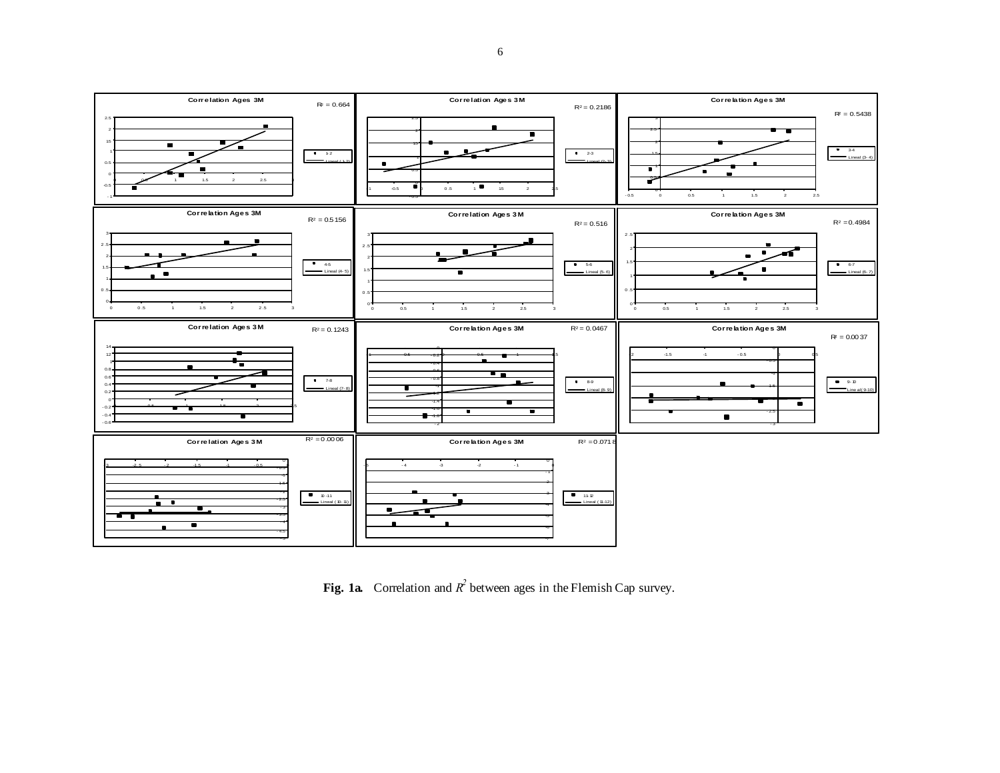

**Fig. 1a.** Correlation and  $R^2$  between ages in the Flemish Cap survey.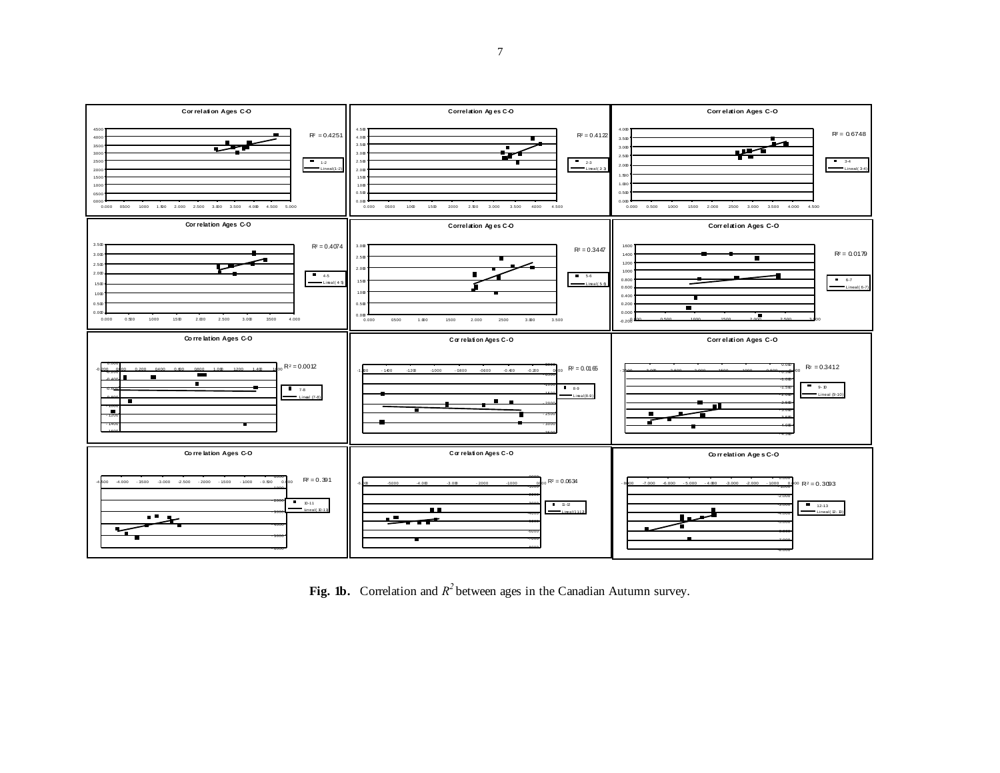

Fig. 1b. Correlation and  $R^2$  between ages in the Canadian Autumn survey.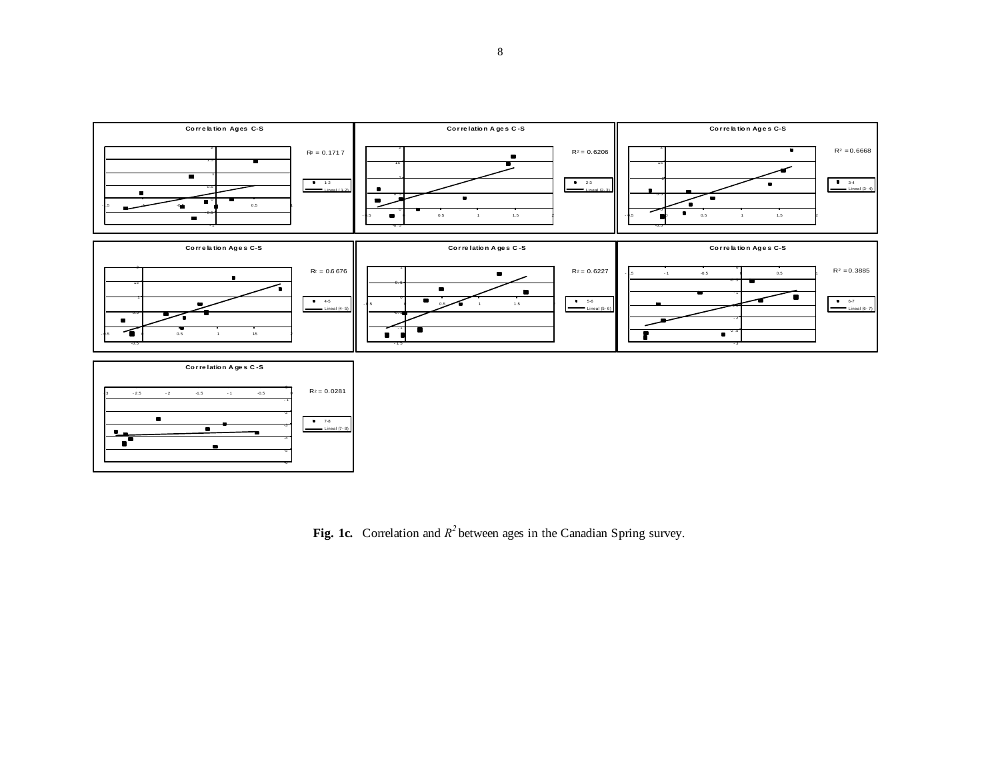

**Fig. 1c.** Correlation and  $R^2$  between ages in the Canadian Spring survey.

-6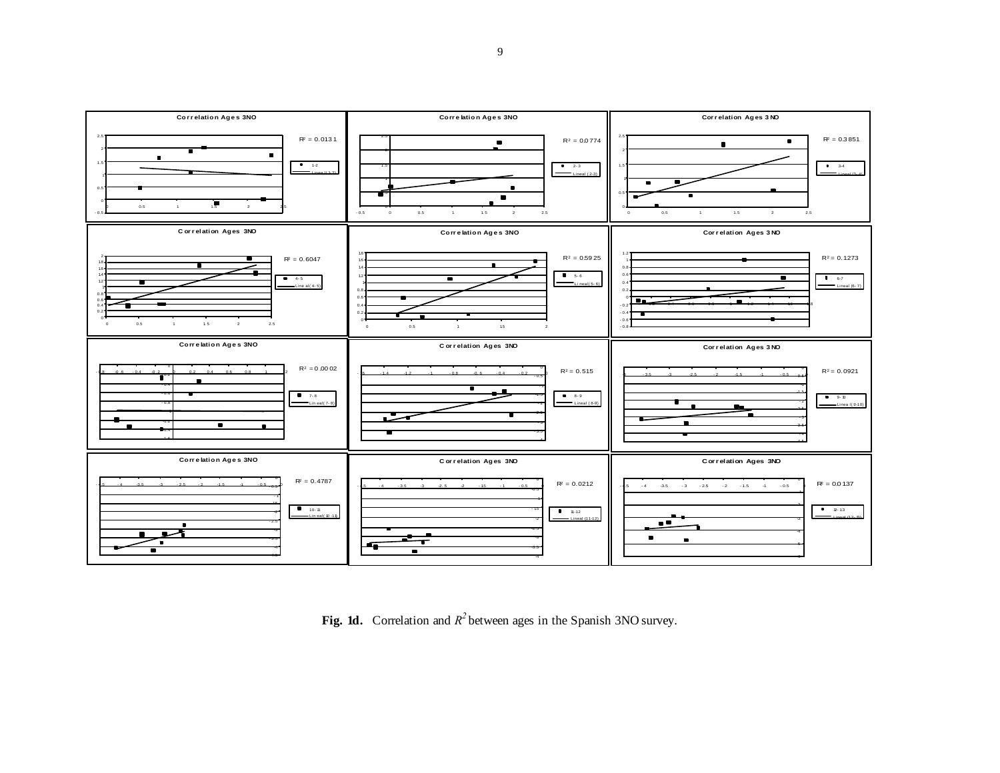

Fig. 1d. Correlation and  $R^2$  between ages in the Spanish 3NO survey.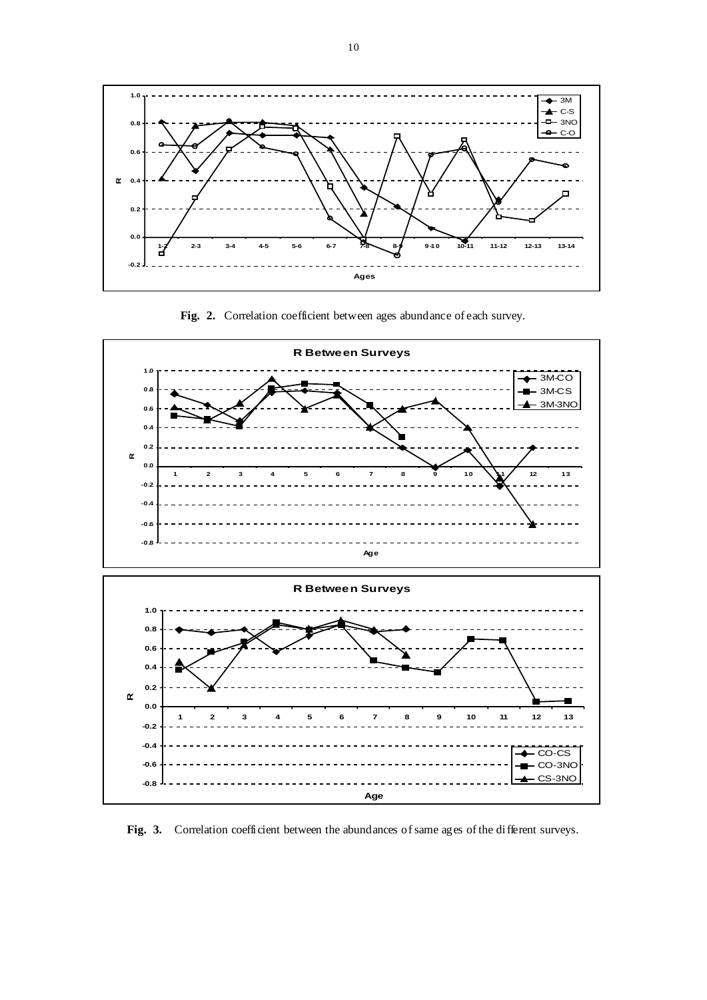

**Fig. 2.** Correlation coefficient between ages abundance of each survey.



Fig. 3. Correlation coefficient between the abundances of same ages of the different surveys.